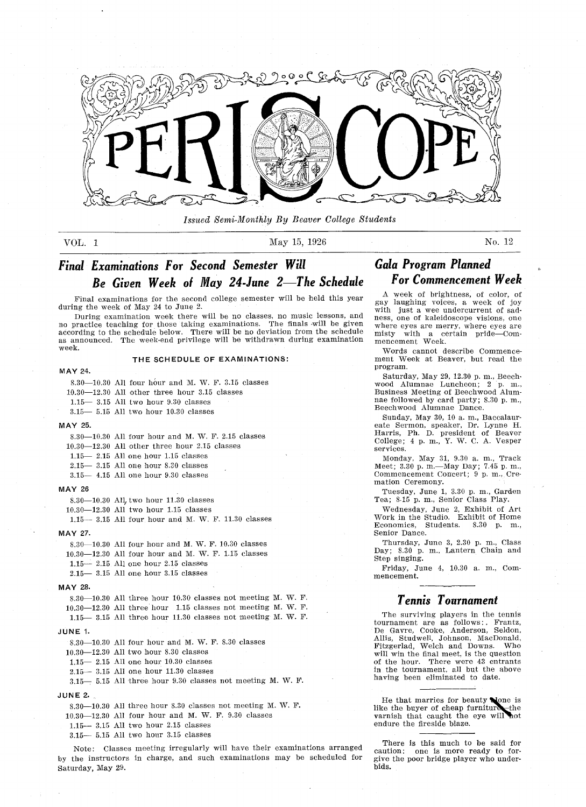

Issued Semi-Monthly By Beaver College Students

VOL 1 May 15, 1926 No. 12

## Final Examinations For Second Semester Will Be Given Week of May 24-June 2—The Schedule

Final examinations for the second college semester will be held this year during the week of May <sup>24</sup> to June

During examination week there will be no classes, no music lessons, and no practice teaching for those taking examinations. The finals will be give according to the schedule below. There will be no deviation from the schedul as announced. The week-end privilege will be withdrawn during examination week

#### THE SCHEDULE OF EXAMINATIONS

#### MAY 24

8.30 $-10.30$  All four hour and M. W. F. 3.15 classes

 $10.30 - 12.30$  All other three hour 3.15 classes

 $1.15 - 3.15$  All two hour  $9.30$  classes

 $3.15 - 5.15$  All two hour  $10.30$  classes

#### MAY 25

8.30-10.30 All four hour and M. W. F. 2.15 classes

 $10.30 - 12.30$  All other three hour  $2.15$  classes

 $1.15 - 2.15$  All one hour  $1.15$  classes

 $2.15 - 3.15$  All one hour 8.30 classes

 $3.15 - 4.15$  All one hour  $9.30$  classes

#### **MAY 26**

8.30 $-10.30$  All two hour 11.30 classes

 $10.30 - 12.30$  All two hour 1.15 classes

 $1.15 - 3.15$  All four hour and M. W. F.  $11.30$  classes

#### MAY 27

 $8.30-10.30$  All four hour and M. W. F. 10.30 classes

 $10.30 - 12.30$  All four hour and M. W. F. 1.15 classes

 $1.15 - 2.15$  All one hour 2.15 classes

2.15 3.15 All one hour 3.15 classes

#### MAY 28

8.30 $-10.30$  All three hour 10.30 classes not meeting M. W. F.  $10.30-12.30$  All three hour 1.15 classes not meeting M. W. F.  $1.15 - 3.15$  All three hour  $11.30$  classes not meeting M. W. F.

#### JUNE 1.

 $8.30-10.30$  All four hour and M. W. F.  $8.30$  classes

 $10.30 - 12.30$  All two hour 8.30 classes

 $1.15 - 2.15$  All one hour  $10.30$  classes

 $2.15 - 3.15$  All one hour  $11.30$  classes

 $3.15 - 5.15$  All three hour 9.30 classes not meeting M. W. F.

#### JUNE 2.

 $8.30-10.30$  All three hour 8.30 classes not meeting M. W. F.

 $10.30 - 12.30$  All four hour and M. W. F.  $9.30$  classes

 $1.15 - 3.15$  All two hour  $2.15$  classes

 $3.15 - 5.15$  All two hour  $3.15$  classes

Note: Classes meeting irregularly will have their examinations arranged by the instructors in charge, and such examinations may be scheduled for Saturday, May 29.

## Gala Program Planned For Commencement Week

A week of brightness, of color, of gay laughing voices, a week of joy with just a wee undercurrent of sadness, one of kaleidoscope visions, one where eyes are merry, where eyes are<br>misty with a certain pride—Commisty with a mencement Week

Words cannot describe Commence ment Week at Beaver, but read the program

Saturday, May 29, 12.30 p.m., Beechwood Alumnae Luncheon; 2 p. m., Business Meeting of Beechwood Alum nae followed by card party; 8.30 p.m., Beecbwood Alumnae Dance

Sunday, May 30, 10 a.m., Baccalaureate Sermon, speaker, Dr. Lynne H. Harris, Ph. D. president of Beaver College; 4 p.m., Y. W. C. A. Vesper services

monday, May 31, 9.30 a. m., Track<br>Meet; 3.30 p. m.—May Day; 7.45 p. m Commencement Concert; 9 p.m., Cremation Ceremony

Tuesday, June 1, 3.30 p.m., Garden Tea; 8.15 p.m., Senior Class Play.

Wednesday, June 2, Exhibit of Art Work in the Studio. Exhibit of Home Economics, Students. 8.30 p. m., Senior Dance

Thursday, June 3, 2.30 p.m., Class Day; 8.30 p. m., Lantern Chain and Step singing

Friday, June 4, 10.30 a.m., Commencement

#### Tennis Tournament

The surviving players in the tennis tournament are as follows: Frantz,<br>De Gavre, Cooke, Anderson, Seldon, De Gavre, Cooke, Anderson, Allis, Studwell, Johnson, MacDonald, Fitzgerlad, Welch and Downs. Who will win the final meet, is the question of the hour. There were 43 entrants in the tournament, all but the above having been eliminated to date

He that marries for beauty  $\blacklozenge$  one is like the buyer of cheap furniture the varnish that caught the eye will not endure the fireside blaze

There is this much to be said for<br>caution: one is more ready to forone is more ready to forgive the poor bridge player who underbids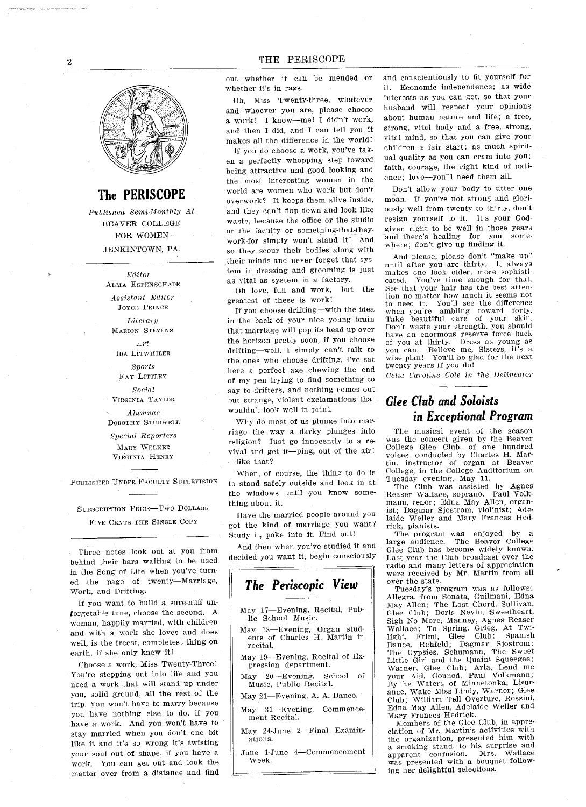## The PERISCOPE

Published Semi-Monthly At BEAYER COLLEGE FOR WOMEN JENKINTOWN, PA.

> Editor ALMA ESPENSCHADE

Assistant Editor JOYCE PRINCE

Literary MARION STEVENS

Art IDA LITwIULER

Sports FAY LITTLEY

Social

VIRGINIA TAYLOR Alumnae DOROTHY STuDwELL

Special Reporters MARY WELKER VIRGINIA HENRY

SUBSCRIPTION PRICE-TWO DOLLARS

Three notes look out at you from behind their bars waiting to be used in the Song of Life when you've turned the page of twenty-Marriage, Work, and Drifting.

If you want to build a sure-nuff unforgetable tune, choose the second. A woman, happily married, with children and with a work she loves and does well, is the freest, completest thing on earth, if she only knew it!

Choose a work, Miss Twenty-Three! You're stepping out into life and you need a work that will stand up under you, solid ground, all the rest of the trip. You won't have to marry because you have nothing else to do, if you have a work. And you won't have to stay married when you don't one bit like it and it's so wrong it's twisting your soul out of shape, if you have a work You can get out and look the matter over from a distance and find

out whether it can be mended or whether it's in rags.

Oh. Miss Twenty-three, whatever and whoever you are, please choose a work! I know-me! I didn't work, and then I did, and I can tell you it makes all the difference in the world

If you do choose a work, you've taken a perfectly whopping step toward being attractive and good looking and the most interesting women in the world are women who work but don't overwork? It keeps them alive inside, and they can't flop down and look like waste, because the office or the studio or the faculty or something-that-theywork-for simply won't stand it! And so they scour their bodies along with their minds and never forget that sys tem in dressing and grooming is just as vital as system in a factory.

Oh love, fun and work, but the greatest of these is work

If you choose drifting-with the idea in the back of your nice young brain that marriage will pop its head up over the horizon pretty soon, if you choose drifting—well, I simply can't talk to the ones who choose drifting. I've sat here a perfect age chewing the end of my pen trying to find something to say to drifters, and nothing comes out but strange, violent exclamations that wouldn't look well in print.

Why do most of us plunge into marriage the way a darky plunges into religion? Just go innocently to a revival and get it--ping, out of the air!  $\equiv$ like that?

When, of course, the thing to do is PUELISHED UNDER FACULTY SUPERVISION to stand safely outside and look in at the windows until you know something about it

Have the married people around you FIVE CENTS THE SINGLE COPY got the kind of marriage you want LEARS thing about it.<br>
Have the married people arous<br>
got the kind of marriage you<br>
Study it, poke into it. Find out

And then when you've studied it and decided you want it, begin consciously

## The Periscopic View

- May 17-Evening, Recital, Publie School Music
- May 18-Evening, Organ students of Charles H. Martin in recital
- May 19-Evening, Recital of Expression department

May  $20$ -Evening, School of Music, Public Recital.

May 21-Evening, A. A. Dance.

May 31-Evening, Commencement Recital

May 24-June 2-Final Examinations

June 1-June 4-Commencement Week

and conscientiously to fit yourself for it. Economic independence; as wide interests as you can get, so that your husband will respect your opinions about human nature and life; a free, strong, vital body and a free, strong, vital mind, so that you can give your children a fair start; as much spiritual quality as you can cram into you faith, courage, the right kind of patience; love-you'll need them all.

Don't allow your body to utter one moan. If you're not strong and gloriously well from twenty to thirty, don't resign yourself to it. It's your Godgiven right to be well in those years<br>and there's healing for you someand there's healing for you where; don't give up finding it.

And please, please don't "make up"<br>til after you are thirty. It always until after you are thirty. makes one look older, more sophisticated. You've time enough for that. See that your hair has the best atten lion no matter how much it seems not tion no matter now much it seems<br>to need it. You'll see the differen when you're ambling toward forty Take beautiful care of your skin Don't waste your strength, you shoul have an enormous reserve force back of you at thirty. Dress as young as<br>you can. Believe me, Sisters, it's a Believe me, Sisters, it's a wise plan! You'll be glad for the next twenty years if you do

Celia Caroline Cole in the Delineator

## Glee Club and Soloists in Exceptional Program

The musical event of the season was the concert given by the Beaver College Glee Club, of one hundred voices, conducted by Charles H. Martin, instructor of organ at Beaver College in the College Auditorium on Tuesday evening, May 11.

The Club was assisted by Agnes Reaser Wallace, soprano. Paul Volkmann, tenor; Edna May Allen, organlst; Dagmar Sjostrom, violinist; Ade laide Weller and Mary Frances Hedrick, pianists.

The program was enjoyed by<br>large audience. The Beaver Coll <sub>a</sub> The Beaver College Glee Club has become widely known. Last year the Club broadcast over the radio and many letters of appreciation were received by Mr Martin from all over the state

Tuesday's program was as follows: Allegra, from Sonata, Guilmani, Edna may Allen; The Lost Chord, Sullivan<br>Glee Club; Doris Nevin, Sweethear Sigh No More, Manney, Agnes Rease<br>Wallace: To Spring, Grieg, At Twi Wanace, To Spring, Greg, To Theory<br>
light, Friml, Glee Club; Spanis<br>
Dance, Rehfeld; Dagmar Sjostrom The Gypsies, Schumann, The Sweet Little Girl and the Quaint Squeegee; Warner, Glee Club; Aria, Lend me your Aid, Gounod, Paul Volkmann By ha Waters of Minnetonka Lieur ance, Wake Miss Lindy, Warner; Glee Club; William Tell Overture, Rossini, Edna May Allen, Adelaide Weller and Mary Frances Hedrick

Members of the Glee Club, in appreciation of Mr. Martin's activities with the organization, presented him with smoking stand, to his surprise and apparent confusion. Mrs. Wallace was presented with a bouquet following her delightful selections.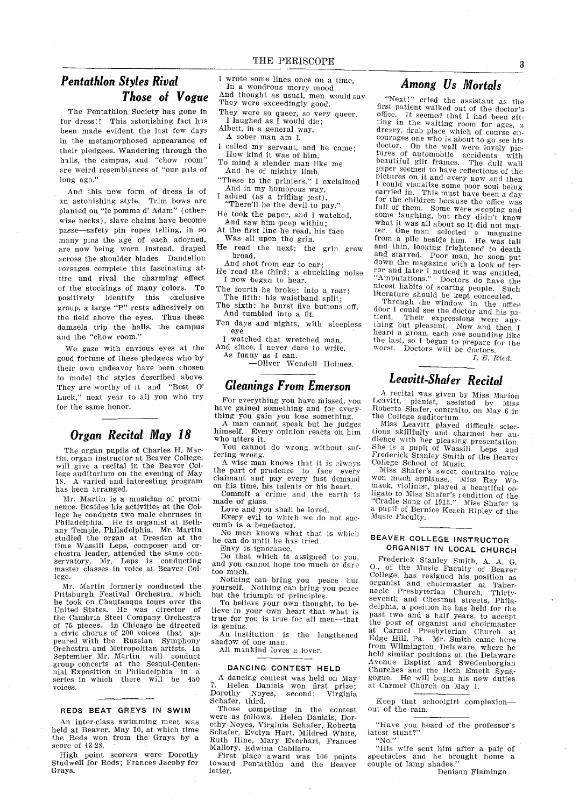## Pentathlon Styles Rival Those ol Vogue

The Pentathlon Society has gone in for dress!! This astonishing fact has been made evident the last few days in the metamorphosed appearance of their pledgees. Wandering through the halls, the campus, and "chow room" are weird resemblances of "our pals of long ago."

And this new form of dress is of an astonishing style. Trim bows are planted on "le pomme d' Adam" (otherwise necks), slave chains have become passe—safety pin ropes telling, in so many pins the age of each adorned are now being worn instead, draped across the shoulder blades. Dandelion corsages complete this fascinating at tire and rival the charming effect of the stockings of many colors. To positively identify this exclusive group, a large "P" rests adhesively on the field above the eyes. Thus these damsels trip the halls, the campus and the "chow room."

We gaze with envious eyes at the good fortune of these pledgees who by their own endeavor have been chosen to model the styles described above They are worthy of it and "Best O' Luck," next year to all you who try for the same honor

## Organ Recital May 18

The organ pupils of Charles H. Martin, organ instructor at Beaver College, will give a recital in the Beaver College auditorium on the evening of May A varied and interesting program has been arranged

Mr. Martin is a musician of prominence. Besides his activities at the College he conducts two male choruses in Philadelphia He is organist at Beth-any Temple Philadelphia Mr Martin studied the organ at Dresden at the time Wassili Leps, composer and orchestra leader, attended the same conenced reduct, attended the same con-<br>servatory. Mr. Leps is conducting<br>master classes in voice at Beaver College

Mr. Martin formerly conducted the Pittsburgh Festival Orchestra, which he took on Chautauqua tours over the United States. He was director of the Cambria Steel Company Orchest: of 75 pieces. In Chicago he directed civic chorus of <sup>200</sup> voices that ap peared with the Russian Symphony Orchestra and Metropolitan artists In September Mr. Martin will conduct group concerts at the Sesqui-Cente nial Exposition in Philadelphia in series in which there will be 450 voices

#### REDS BEAT GREYS IN SWIM

An inter-class swimming meet was held at Beaver, May 10, at which time the Reds won from the Grays by a score of 43-28

High point scorers were Dorothy Studwell for Reds; Frances Jacoby for Grays

- I wrote some lines once on a time,<br>In a wondrous merry mood And thought as usual, men would say
- They were exceedingly good
- They were so queer, so very queer, I laughed as  $\overline{\textbf{l}}$  would die;
- Albeit, in a general way,  $A$  sober man am I.
- 
- I called my servant, and he came;<br>How kind it was of him,<br>To mind a slender man like me.<br>And he of mighty limb.
- 
- "These to the printers," I exclaimed And in my humorous way,
- I added (as a trifling jest), There'll be the devil to pay.'
- He took the paper, and I watched, And saw him peep within
- At the first line he read, his face Was all upon the grin
- He read the next; the grin grew broad,<br>And shot from ear to ear;
- He read the third; a chuckling noise I now began to hear.
- The fourth he broke: into a roar; The fifth: his waistband split;
- The sixth: he burst five buttons off, And tumbled into a fit.
- Ten days and nights, with sleepless eye
- I watched that wretched man,<br>And since, I never dare to write,

As funny as I can.

-Oliver Wendell Holmes.

## Gleanings From Emerson

For everything you have missed, you have gained something and for every thing you gain you lose something

man cannot speak but he judges himself. Every opinion reacts on him who utters it

You cannot do wrong without suffering wrong

A wise man knows that it is always the part of prudence to face every claimant and pay every just demand on his time, his talents or his heart.

Commit a crime and the earth is made of glass

Love and you shall be loved.

Every evil to which we do not suc cumb is a benefactor.

No man knows what that is which he can do until he has tried Envy is ignorance

Do that which is assigned to you and you cannot hope too much or dare too much

Nothing can bring you peace but yourself. Nothing can bring you peace but the triumph of principles

To believe your own thought, to believe in your own heart that what is true for you is true for all men-that is genius

An institution is the lengthened shadow of one man

All mankind loves a lover.

#### DANCING CONTEST HELD

A dancing contest was held on May<br>7. Helen Daniels won first prize;<br>Dorothy Noyes, second; Virginia  $7^{\circ}$ second; Schafer, third.

Those competing in the contest were as follows. Helen Danials, Dor othy Noyes, Virginia Schafer, Robert Schafer, Evelyn Hart, Mildred White, Ruth Hine, Mary Everhart, Frances Mallory, Edwina Cabllaro.

First place award was <sup>100</sup> points toward Pentatblon and the Beaver letter

#### Among Us Mortals

"Next!" cried the assistant as the first patient walked out of the doctor's med patient walked out of the doctor's ting in the waiting room for age dreary, drab place which of course encourages one who is about to go see his doctor. On the wall were lovely nice On the wall were lovely pictures of automobile accidents with beautiful gilt frames. The dull wall paper seemed to have reflections of the pictures on it and every now and then<br>I could visualize some poor soul being carried in. This must have been a day for the children because the office was full of them. Some were weeping and some laughing, but they didn't know some laughing, but they didn't know what it was all about so it did not mat ter. One man selected a magazine from a pile beside him. He was tall and thin, looking frightened to death<br>and starved. Poor man, he soon put down the magazine with a look of ter-<br>ror and later I noticed it was entitled, "Amputations." Doctors do have the nicest habits of scaring people Such literature should be kept concealed

Through the window in the office door I could see the doctor and his patient. Their expressions were any thing but pleasant. Now and then I heard a groan, each one sounding like the last, so I began to prepare for the worst. Doctors will be doctors

 $I. E. Ried.$ 

## Leavitt-Shafer Recital

recital was given by Miss Marion Leavitt, pianist, assisted by Miss Roberta Shafer, contralto, on May 6 in the College auditorium.<br>Miss Leavitt played difficult selec-

tions skillfully and charmed her audience with her pleasing presentation. She is a pupil of Wassili Leps and Frederick Stanley Smith of the Beaver College School of Music.

Miss Shafer's sweet contralto voic won much applause Miss Ray Wo mack, violinist, played a beautiful ob-<br>ligato to Miss Shafer's rendition of the<br>"Cradle Song of 1915." Miss Shafer is a pupil of Bernice Keach Ripley of the Music Faculty

#### BEAVER COLLEGE INSTRUCTOR ORGANIST IN LOCAL CHURCH

Frederick Stanley Smith, A. A. G. O., of the Music Faculty of Beaver College, has resigned his position as organist and choirmaster at Taber<br>nacle Presbyterian Church, Thirtynacle Presbyterian Church, Thirty-<br>seventh and Chestnut streets, Philadelphia, a position he has held for the past two and a half years, to accept the post of organist and choirmaster<br>at Carmel Presbyterian Church at Carmel Presbyterian Church at Edge Hill, Pa. Mr. Smith came here from Wilmington, Delaware, where he<br>held similar positions at the Delaware Avenue Baptist and Swedenborgian Churches and the Beth Emeth Syna gogue He will begin his new duties at Carmel Church on May

Keep that schoolgirl complexion-<br>out of the rain.

"Have you heard of the professor"<br>latest stunt?"<br>"No."

"No."<br>"His wife sent him after a pair of spectacles and he brought home a couple of lamp shades.'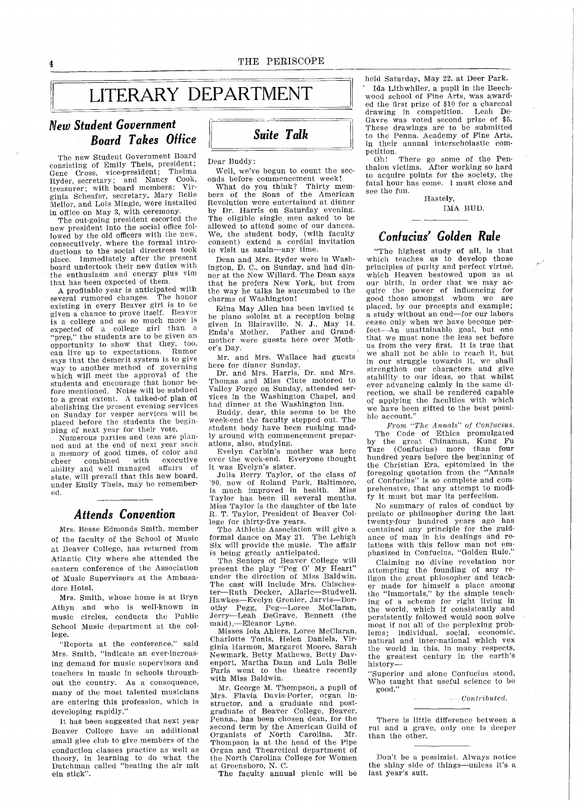## LITERARY DEPARTMENT

#### New Student Government Board Takes Office

4

The new Student Government Board consisting of Emily Theis, president; Gene Cross, vice-president; Thelma Ryder, secretary; and Nancy Cook, treasurer; with board members: ginia Scheafer, secretary, Mary Belle Mellor, and Lois Mingle, were installed in office on May 3, with ceremony.

The ont-going president escorted the new president into the social office fol lowed by the old officers with the new consecutively where the formal intro ductions to the social directress took place. Immediately after the present board undertook their new duties with the enthusiasm and energy plus vim that has been expected of them

A profitable year is anticipated with<br>averal rumored changes. The honor several rumored changes. existing in every Beaver girl is to be<br>given a chance to prove itself. Beaver given a chance to prove itself. is college and as so much more is expected of a college girl than a prep," the students are to be given an opportunity to show that they, too, can live up to expectations. says that the demerit system is to give way to another method of governing which will meet the approval of the students and encourage that honor be fore mentioned. Noise will be subdued to a great extent. A talked-of plan of abolishing the present evening services on Sunday for vesper services will be placed before the students the begin ning of next year for their vote

Numerous parties and teas are plan ned and at the end of next year such a memory of good times, of color and<br>cheer combined with executive cheer combined with executive<br>ability and well managed affairs of ability and well managed state, will prevail that this new board, under Emily Theis, may be remembered

#### Attends Convention

Mrs. Besse Edmonds Smith, member of the faculty of the School of Music at Beaver College, has returned from Atlantic City where she attended the eastern conference of the Association of Music Supervisors at the Ambasa dore Hotel

Mrs. Smith, whose home is at Bryn Athyn and who is well-known in music circles, conducts the Public School Music department at the col lege

"Reports at the conference," said Mrs. Smith, "indicate an ever-increasing demand for music supervisors and teachers in music in schools through out the country. As a consequence, many of the most talented musicians are entering this profession, which is developing rapidly."

it has been suggested that next year Beaver College have an additional small glee club to give members of the conduction classes practice as well as theory, in learning to do what the<br>Dutchman called "beating the air mit ein stick".

## Suite Talk

Dear Buddy

Well, we've begun to count the seconds before commencement week!<br>What do you think? Thirty mem-

What do you think? bers of the Sons of the American Revolution were entertained at dinner by Dr. Harris on Saturday evening. The eligible single men asked to be allowed to attend some of our dances We, the student body, (with faculty consent) extend a cordial invitation to visit us again-any time.

Dean and Mrs. Ryder were in Washington, D. C., on Sunday, and had dinner at the New Willard. The Dean says that he prefers New York but from the way he talks he succumbed to the charms of Washington

Edna May Allen has been invited be piano soloist at a reception being given in Blairsville, N. J., May 14<br>Enda's Mother, Father and Grand mother were guests here over Moth er's Day.

Mr. and Mrs. Wallace had guests here for dinner Sunday

Dr. and Mrs. Harris, Dr. and Mrs. Thomas and Miss Clute motored to Valley Forge on Sunday, attended services in the Washington Chapel, and had dinner at the Washington Inn

Buddy, dear, this seems to be the week-end the faculty stepped out The student body have been rushing mad ly around with commencement prepar ations, also, studying.

Evelyn Carbin's mother was here over the week-end. Everyone thought it was Evelyn's sister.

Julia Berry Taylor, of the class of '90, now of Roland Park, Baltimor is much improved in health. Miss Taylor has been ill several months Miss Taylor is the daughter of the late R. T. Taylor, President of Beaver College for thirty-five years

The Athletic Association will give formal dance on May 21. The Lehigh Six will provide the music The affair is being greatly anticipated

The Seniors of Beaver College will present the play "Peg O' My Heart under the direction of Miss Baldwin The cast will include Mrs. Chischester-Ruth Decker, Allaric-Studwell, Hawkes-Evelyn Grenier, Jarvis-Dorothy Pegg, Peg-Loree McClaran, Jerry-Leah DeGrave, Bennett (the maid),-Eleanor Lyne.

Misses Iola Ahlers, Loree McClaran,<br>Charlotte Tonis, Helen Daniels, Virginia Harmon, Margaret Moore, Sarah Newmark, Betty Mathews, Betty Davenport, Martha Dann and Lula Belle Paris went to the theatre recently with Miss Baldwin

Mr. George M. Thompson, a pupil of mr. George M. Thompson, a pupu of<br>Mrs. Flavia Davis-Porter, organ instructor, and a graduate and post graduate of Beaver College, Beaver, Penna., has been chosen dean, for the second term by the American Guild of Organists of North Carolina. Mr. Thompson is at the head of the Pipe Organ and Thearetical department of the North Carolina College for Women at Greensboro The faculty annual picnic will be

held Saturday, May 22, at Deer Park.

Ida Lithwhiler, a pupil in the Beechwood school of Fine Arts, was awarded the first prize of \$10 for a charcoal drawing in competition Leah De Gavre was voted second prize of \$5 These drawings are to be submitted to the Penna Academy of Fine Arts in their annual interscholastic com petition.<br>Oh!

There go some of the Penthalon victims. After working so hard to acquire points for the society, the fatal hour has come. I must close and see the fun.

Hastely,

#### IMA BUD

## Confucius' Golden Rule

"The highest study of all, is that which teaches us to develop those principles of purity and perfect virtue, which Heaven bestowed upon us at our birth, in order that we may acquire the power of influencing for good those amongst whom we are placed, by our precepts and example; a study without an end-for our labors cease only when we have become per  $fect$ —An unattainable goal, but on that we must none the less set before us from the very first. It is true that we shall not be able to reach it, but in our struggle towards it, we shall strengthen our characters and give stability to our ideas, so that whilst ever advancing calmly in the same direction, we shall be rendered capable of applying the faculties with which we have been gifted to the best possi ble account

From "The Annals" of Confucius. The Code of Ethics promulgated by the great Chinaman, Kung Fu Tsze (Confucius) more than four hundred years before the beginning of the Christian Era, epitomized in the<br>foregoing quotation from the "Annals of Confucius" is so complete and comprehensive, that any attempt to modify it must but mar its perfectiou

No summary of rules of conduct by prelate or philosopher during the last twenty-four hundred years ago has contained any principle for the guid ance of man in his dealings and re lations with this fellow man not emphasized in Confucius, "Golden Rule."

Claiming no divine revelation nor attempting the founding of any re ligon the great phiosopher and teacher made for himself a place among the "Immortals," by the simple teach ing of a scheme for right living in the world, which if consistently and persistently followed would soon solve most if not all of the perplexing prob lems; individual, social, economic, natural and inter-national which vex the world in this, in many respects, the greatest century in the earth's history

"Superior and alone Confucius stood, Who taught that aseful science to be good

 $\ldots$  Contributed.

There is little difference between a rut and a grave, only one is deeper than the other

Don't be a pessimist. Always notice the shiny side of things-unless it's a last year's suit.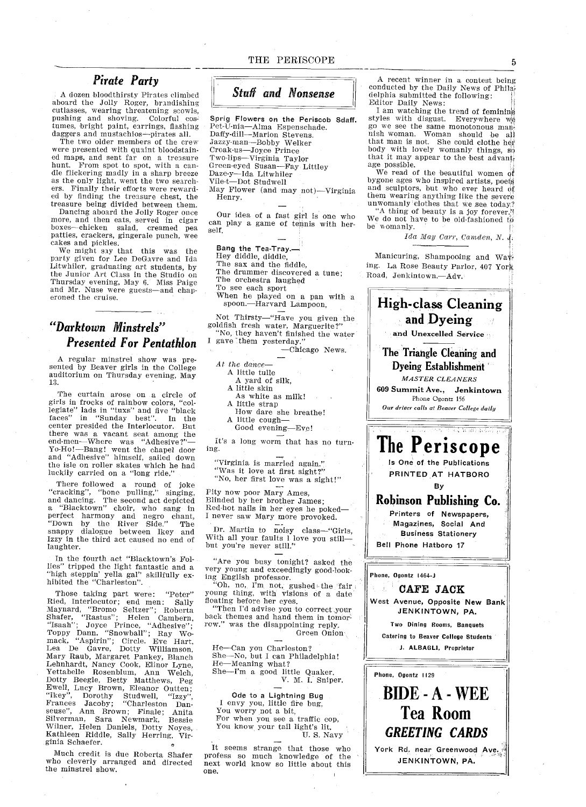#### Pirate Party

dozen bloodthirsty Pirates climbed aboard the Jolly Roger, brandishin cutlasses, wearing threatening scowl pushing and shoving. Colorful costumes, bright paint, earrings, flashing daggers and mustachios--pirates all.

The two older members of the crew were presented with quaint bloodstain ed maps, and sent far on a treasure<br>hunt. From spot to spot, with a candle flickering madly in a sharp breeze as the only light, went the two searchers. Finally their efforts were rewarded by finding the treasure chest, the treasure being divided between them

Dancing aboard the Jolly Roger once more, and then eats, served in cigar boxes—chicken salad, creamed pearties, crackers, gingerale punch, wee cakes and pickles

We might say that this was the party given for Lee DeGavre and Ida Litwhiler, graduating art students, by the Junior Art Class in the Studio on Thursday evening, May 6. Miss Paige and Mr. Nuse were guests—and chaperoned the cruise.

## Darktown Minstrels Presented For Pentathion

regular minstrel show was pre sented by Beaver girls in the College auditorium on Thursday evening, May<br>13

The curtain arose on a circle of<br>girls in frocks of rainbow colors, "col-<br>legiate" lads in "tuxs" and five "black  $faces''$  in "Sunday best". In the center presided the Interlocutor. But there was a vacant seat among the end-mens a vacant seat among the<br>end-men--Where was "Adhesive?"<br>Yo-Ho!--Bang! went the chapel down<br>and "Adhesive" himself, sailed down the isle on roller skates which he had luckily carried on a "long ride."

There followed a round of joke<br>"cracking", "bone pulling," singing<br>and dancing. The second act depicted<br>a "Blacktown" choir, who sang in perfect harmony and negro chant<br>"Down by the River Side." The snappy dialogue between Ikey and Izzy in the third act caused no end of laughter

In the fourth act "Blacktown's Follies" tripped the light fantastic and "high steppin' yella gal" skillfully exhibited the "Charleston".

Those taking part were: "Peter" Ried, Interlocutor; end men: Sall<br>Maynard, "Bromo Seltzer"; Robert<br>Shafer, "Rastus"; Helen Camberr<br>"Isaah"; Joyce Prince, "Adhesive" Toppy Dann, "Snowball"; Ray Wo<br>mack, "Aspirin"; Circle. Eve Hart Lea De Gavre, Dotty Williamson Mary Raub, Margaret Pankey, Blanch<br>Lehnhardt, Nancy Cook, Elinor Lyne, Lehnhardt, Nancy Cook, Elinor Lyne<br>Yettabelle Rosenblum, Ann Welch Dotty Beegle, Betty Matthews, Peg<br>Ewell, Lucy Brown, Eleanor Outten; Ikey", Dorothy Studwell, "Izzy", Frances Jacoby; "Charleston Danstrandon, Sara Newmark, Bessie<br>Silverman, Sara Newmark, Bessie Wilner, Helen Daniels, Dotty Noyes,<br>Kathleen Riddle, Sally Herring, Virginia Schaefer

Much credit is due Roberta Shafer who cleverly arranged and directed the minstrel show

#### THE PERISCOPE

Stuff and Nonsense

Sprig Flowers on the Periscob Sdaff. Pet-U-nia—Alma Espenschade<br>Daffy-dill—Marion Stevens. Jazzy-man-Bobby Welker Croak-us—Joyce Prince<br>Two-lips—Virginia Taylo Green-eyed Susan-Fay Littley Daze-y—Ida Litwhile<br>Vile-t—Dot Studwell May Flower (and may not)-Virginia

Henry

Our idea of a fast girl is one who can play a game of tennis with herself

Bang the Tea-Tray.\_ Hey diddle, diddle, The sax and the fiddle The drummer discovered a tune;<br>The orchestra laughed To see each sport When he played on a pan with a spoon.-Harvard Lampoon.

Not Thirsty—"Have you given the<br>goldfish fresh water, Marguerite?" "No, they haven't finished the water

I gave them yesterday. -Chicago News.

- At the dance
	- A little tulle
	- yard of silk
	- A little skin
	- As white as milk
	- A little strap
	- How dare she breathe
	- A little cough-
	- Good evening-Eve!

It's a long worm that has no turning

Virginia is married again "Was it love at first sight?"

"No, her first love was a sight!"

Pity now poor Mary Ames,<br>Blinded by her brother James;<br>Red-hot nails in her eyes he poked—<br>I never saw Mary more provoked.

Dr. Martin to noisy class—"Girls,<br>With all your faults l love you still but you're never still."

"Are you busy tonight? asked the very young and exceedingly good-look

ing English professor.<br>
"Oh, no, I'm not gushed the fair<br>
young thing, with visions of a date floating before her eyes.<br>"Then I'd advise you to correct you

"Then I'd advise you to correct your<br>back themes and hand them in tomorwas the disappointing reply. Green Onion

He-Can you Charleston? She-No, but I can Philadelphia! He-Meaning what? nd meaning what:<br>She—I'm a good little Quaker Sniper

Ode to Lightning Bug envy you, little fire bug You worry not a bit, For when you see a traffic cop, You know your tail light's lit. U.S. Navy

It seems strange that those who profess so much knowledge of the next world know so little about this one

A recent winner in a contest being conducted by the Daily News of Philadelphia submitted the following Editor Daily News

I am watching the trend of femining styles with disgust. Everywhere we go we see the same monotonous mannish woman Woman should be a1 that man is not She could clothe her body with lovely womanly things, so that it may appear to the best advant age possible

We read of the beautiful women of bygone ages who inspired artists, poets and sculptors, but who ever heard of them wearing anything like the severe unwomanly clothes that we see today "A thing of beauty is a joy forever."<br>We do not have to be old-fashioned to be womanly.

Ida May Carr, Camden, N. J.

Manicuring, Shampooing and Wave ing. La Rose Beauty Parlor, 407 York Road, Jenkintown.--Adv.